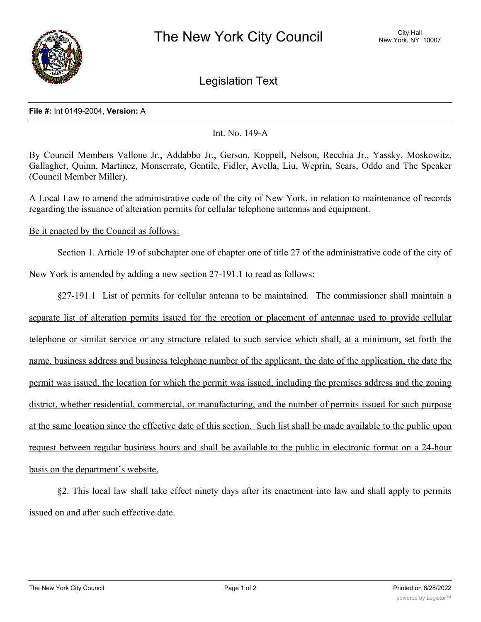

Legislation Text

## **File #:** Int 0149-2004, **Version:** A

## Int. No. 149-A

By Council Members Vallone Jr., Addabbo Jr., Gerson, Koppell, Nelson, Recchia Jr., Yassky, Moskowitz, Gallagher, Quinn, Martinez, Monserrate, Gentile, Fidler, Avella, Liu, Weprin, Sears, Oddo and The Speaker (Council Member Miller).

A Local Law to amend the administrative code of the city of New York, in relation to maintenance of records regarding the issuance of alteration permits for cellular telephone antennas and equipment.

## Be it enacted by the Council as follows:

Section 1. Article 19 of subchapter one of chapter one of title 27 of the administrative code of the city of

New York is amended by adding a new section 27-191.1 to read as follows:

§27-191.1 List of permits for cellular antenna to be maintained. The commissioner shall maintain a separate list of alteration permits issued for the erection or placement of antennae used to provide cellular telephone or similar service or any structure related to such service which shall, at a minimum, set forth the name, business address and business telephone number of the applicant, the date of the application, the date the permit was issued, the location for which the permit was issued, including the premises address and the zoning district, whether residential, commercial, or manufacturing, and the number of permits issued for such purpose at the same location since the effective date of this section. Such list shall be made available to the public upon request between regular business hours and shall be available to the public in electronic format on a 24-hour basis on the department's website.

§2. This local law shall take effect ninety days after its enactment into law and shall apply to permits issued on and after such effective date.